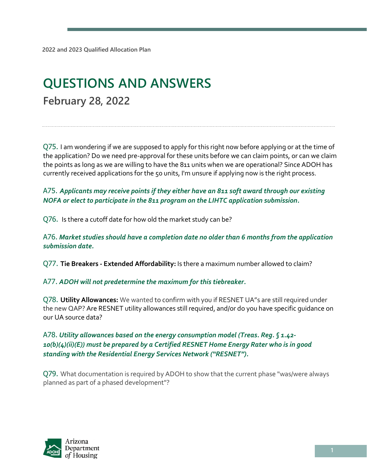# **QUESTIONS AND ANSWERS February 28, 2022**

Q75. I am wondering if we are supposed to apply for this right now before applying or at the time of the application? Do we need pre-approval for these units before we can claim points, or can we claim the points as long as we are willing to have the 811 units when we are operational? Since ADOH has currently received applications for the 50 units, I'm unsure if applying now is the right process.

A75. *Applicants may receive points if they either have an 811 soft award through our existing NOFA or elect to participate in the 811 program on the LIHTC application submission.* 

Q76. Is there a cutoff date for how old the market study can be?

A76. *Market studies should have a completion date no older than 6 months from the application submission date.* 

Q77. **Tie Breakers - Extended Affordability:** Is there a maximum number allowed to claim?

A77. *ADOH will not predetermine the maximum for this tiebreaker.* 

Q78. **Utility Allowances:** We wanted to confirm with you if RESNET UA"s are still required under the new QAP? Are RESNET utility allowances still required, and/or do you have specific guidance on our UA source data?

A78. *Utility allowances based on the energy consumption model (Treas. Reg. § 1.42- 10(b)(4)(ii)(E)) must be prepared by a Certified RESNET Home Energy Rater who is in good standing with the Residential Energy Services Network ("RESNET").* 

Q79. What documentation is required by ADOH to show that the current phase "was/were always planned as part of a phased development"?

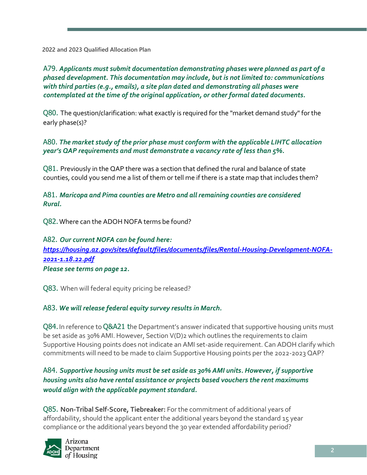**2022 and 2023 Qualified Allocation Plan**

A79. *Applicants must submit documentation demonstrating phases were planned as part of a phased development. This documentation may include, but is not limited to: communications with third parties (e.g., emails), a site plan dated and demonstrating all phases were contemplated at the time of the original application, or other formal dated documents.* 

Q80. The question/clarification: what exactly is required for the "market demand study" for the early phase(s)?

A80. *The market study of the prior phase must conform with the applicable LIHTC allocation year's QAP requirements and must demonstrate a vacancy rate of less than 5%.*

Q81. Previously in the QAP there was a section that defined the rural and balance of state counties, could you send me a list of them or tell me if there is a state map that includes them?

A81. *Maricopa and Pima counties are Metro and all remaining counties are considered Rural.* 

Q82. Where can the ADOH NOFA terms be found?

A82. *Our current NOFA can be found here: [https://housing.az.gov/sites/default/files/documents/files/Rental-Housing-Development-NOFA-](https://housing.az.gov/sites/default/files/documents/files/Rental-Housing-Development-NOFA-2021-1.18.22.pdf)[2021-1.18.22.pdf](https://housing.az.gov/sites/default/files/documents/files/Rental-Housing-Development-NOFA-2021-1.18.22.pdf) Please see terms on page 12.* 

Q83. When will federal equity pricing be released?

## A83. *We will release federal equity survey results in March.*

Q84. In reference to Q&A21 the Department's answer indicated that supportive housing units must be set aside as 30% AMI. However, Section V(D)2 which outlines the requirements to claim Supportive Housing points does not indicate an AMI set-aside requirement. Can ADOH clarify which commitments will need to be made to claim Supportive Housing points per the 2022-2023 QAP?

A84. *Supportive housing units must be set aside as 30% AMI units. However, if supportive housing units also have rental assistance or projects based vouchers the rent maximums would align with the applicable payment standard.*

Q85. **Non-Tribal Self-Score, Tiebreaker:** For the commitment of additional years of affordability, should the applicant enter the additional years beyond the standard 15 year compliance or the additional years beyond the 30 year extended affordability period?